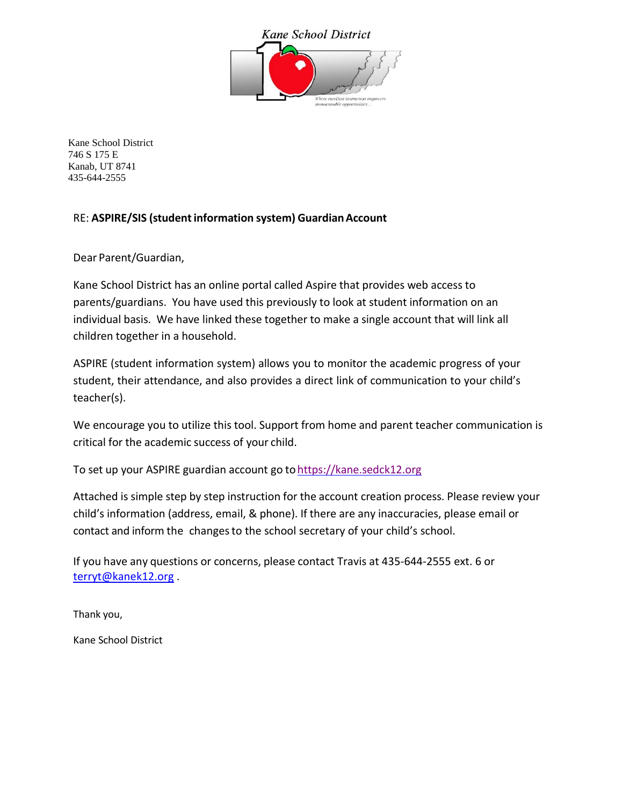

Kane School District 746 S 175 E Kanab, UT 8741 435-644-2555

### RE: **ASPIRE/SIS (studentinformation system) GuardianAccount**

Dear Parent/Guardian,

Kane School District has an online portal called Aspire that provides web access to parents/guardians. You have used this previously to look at student information on an individual basis. We have linked these together to make a single account that will link all children together in a household.

ASPIRE (student information system) allows you to monitor the academic progress of your student, their attendance, and also provides a direct link of communication to your child's teacher(s).

We encourage you to utilize this tool. Support from home and parent teacher communication is critical for the academic success of your child.

To set up your ASPIRE guardian account go to https://kane.sedck12.org

Attached is simple step by step instruction for the account creation process. Please review your child's information (address, email, & phone). If there are any inaccuracies, please email or contact and inform the changesto the school secretary of your child's school.

If you have any questions or concerns, please contact Travis at 435-644-2555 ext. 6 or [terryt@kanek12.org](mailto:terryt@kanek12.org) .

Thank you,

Kane School District